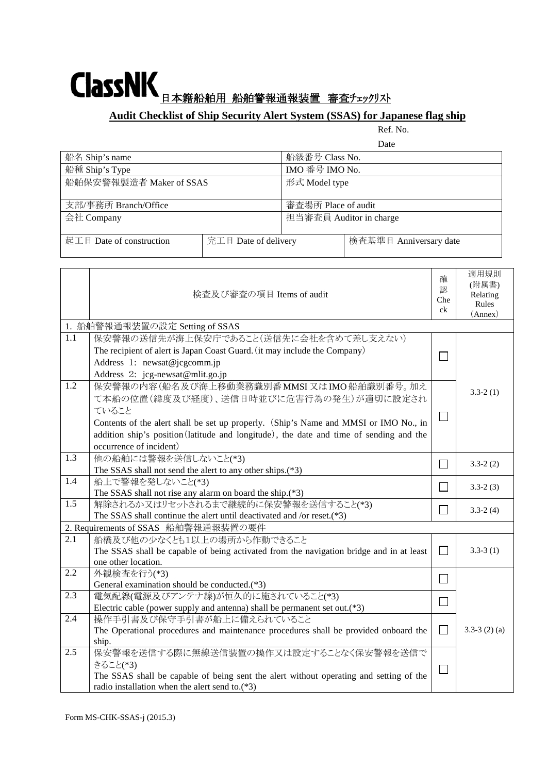## ClassNK F A SAMA B 船舶警報通報装置 審査チェックリスト

## **Audit Checklist of Ship Security Alert System (SSAS) for Japanese flag ship**

Ref. No.

適用規則

|                          |                      |                         | Date                   |  |
|--------------------------|----------------------|-------------------------|------------------------|--|
| 船名 Ship's name           |                      | 船級番号 Class No.          |                        |  |
| 船種 Ship's Type           |                      | IMO 番号 IMO No.          |                        |  |
| 船舶保安警報製造者 Maker of SSAS  |                      | 形式 Model type           |                        |  |
|                          |                      |                         |                        |  |
| 支部/事務所 Branch/Office     |                      | 審査場所 Place of audit     |                        |  |
| 会社 Company               |                      | 担当審査員 Auditor in charge |                        |  |
|                          |                      |                         |                        |  |
| 起工日 Date of construction | 完工日 Date of delivery |                         | 検査基準日 Anniversary date |  |
|                          |                      |                         |                        |  |

|                                     | 検査及び審査の項目 Items of audit                                                                                                                                                                                                                                                                                  | 確<br>認<br>Che<br>ck         | 週用規則<br>(附属書)<br>Relating<br>Rules<br>(Annex) |
|-------------------------------------|-----------------------------------------------------------------------------------------------------------------------------------------------------------------------------------------------------------------------------------------------------------------------------------------------------------|-----------------------------|-----------------------------------------------|
|                                     | 1. 船舶警報通報装置の設定 Setting of SSAS                                                                                                                                                                                                                                                                            |                             |                                               |
| $\overline{1.1}$                    | 保安警報の送信先が海上保安庁であること(送信先に会社を含めて差し支えない)<br>The recipient of alert is Japan Coast Guard. (it may include the Company)<br>Address 1: newsat@jcgcomm.jp<br>Address 2: jcg-newsat@mlit.go.jp                                                                                                                    |                             |                                               |
| $\overline{1.2}$                    | 保安警報の内容(船名及び海上移動業務識別番MMSI 又はIMO船舶識別番号。加え<br>て本船の位置(緯度及び経度)、送信日時並びに危害行為の発生)が適切に設定され<br>ていること<br>Contents of the alert shall be set up properly. (Ship's Name and MMSI or IMO No., in<br>addition ship's position (latitude and longitude), the date and time of sending and the<br>occurrence of incident) | $\Box$                      | $3.3 - 2(1)$                                  |
| 1.3                                 | 他の船舶には警報を送信しないこと(*3)<br>The SSAS shall not send the alert to any other ships.(*3)                                                                                                                                                                                                                         | $\sim$                      | $3.3 - 2(2)$                                  |
| 1.4                                 | 船上で警報を発しないこと(*3)<br>The SSAS shall not rise any alarm on board the ship.(*3)                                                                                                                                                                                                                              | $\sim$                      | $3.3 - 2(3)$                                  |
| 1.5                                 | 解除されるか又はリセットされるまで継続的に保安警報を送信すること(*3)<br>The SSAS shall continue the alert until deactivated and /or reset.(*3)                                                                                                                                                                                            |                             | $3.3 - 2(4)$                                  |
| 2. Requirements of SSAS 船舶警報通報装置の要件 |                                                                                                                                                                                                                                                                                                           |                             |                                               |
| $\overline{2.1}$                    | 船橋及び他の少なくとも1以上の場所から作動できること<br>The SSAS shall be capable of being activated from the navigation bridge and in at least<br>one other location.                                                                                                                                                              | $\overline{\phantom{a}}$    | $3.3 - 3(1)$                                  |
| 2.2                                 | 外観検査を行う(*3)<br>General examination should be conducted.(*3)                                                                                                                                                                                                                                               | $\mathcal{L}$               |                                               |
| 2.3                                 | 電気配線(電源及びアンテナ線)が恒久的に施されていること(*3)<br>Electric cable (power supply and antenna) shall be permanent set out.(*3)                                                                                                                                                                                             |                             |                                               |
| 2.4                                 | 操作手引書及び保守手引書が船上に備えられていること<br>The Operational procedures and maintenance procedures shall be provided onboard the<br>ship.                                                                                                                                                                                 | $\mathsf{L}$                | $3.3-3(2)(a)$                                 |
| 2.5                                 | 保安警報を送信する際に無線送信装置の操作又は設定することなく保安警報を送信で<br>きること(*3)<br>The SSAS shall be capable of being sent the alert without operating and setting of the<br>radio installation when the alert send to.(*3)                                                                                                            | $\mathcal{L}_{\mathcal{A}}$ |                                               |

ř.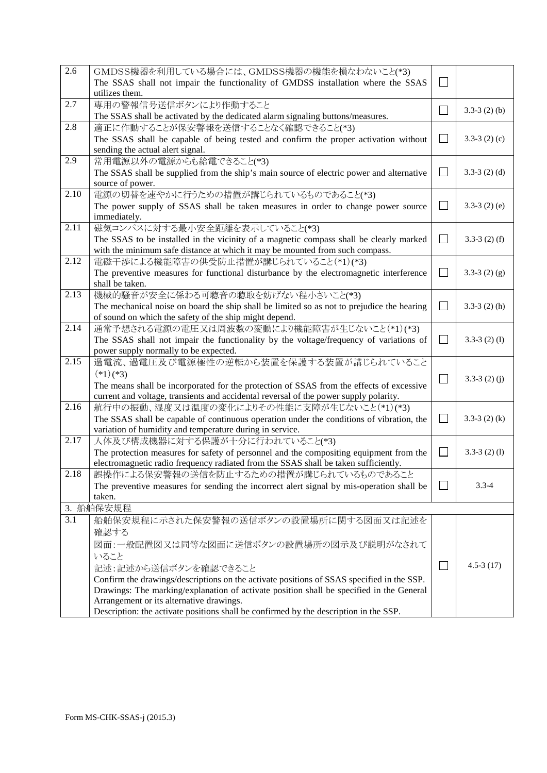| 2.6  | GMDSS機器を利用している場合には、GMDSS機器の機能を損なわないこと(*3)                                                  |                   |                  |
|------|--------------------------------------------------------------------------------------------|-------------------|------------------|
|      | The SSAS shall not impair the functionality of GMDSS installation where the SSAS           |                   |                  |
|      | utilizes them.                                                                             |                   |                  |
| 2.7  | 専用の警報信号送信ボタンにより作動すること                                                                      |                   | $3.3-3(2)$ (b)   |
|      | The SSAS shall be activated by the dedicated alarm signaling buttons/measures.             |                   |                  |
| 2.8  | 適正に作動することが保安警報を送信することなく確認できること(*3)                                                         |                   |                  |
|      | The SSAS shall be capable of being tested and confirm the proper activation without        |                   | $3.3-3(2)(c)$    |
|      | sending the actual alert signal.                                                           |                   |                  |
| 2.9  | 常用電源以外の電源からも給電できること(*3)                                                                    |                   |                  |
|      | The SSAS shall be supplied from the ship's main source of electric power and alternative   | $\sim$            | $3.3-3(2)(d)$    |
|      | source of power.                                                                           |                   |                  |
| 2.10 | 電源の切替を速やかに行うための措置が講じられているものであること(*3)                                                       |                   |                  |
|      | The power supply of SSAS shall be taken measures in order to change power source           | $\sim$            | $3.3-3(2)$ (e)   |
|      | immediately.                                                                               |                   |                  |
| 2.11 | 磁気コンパスに対する最小安全距離を表示していること(*3)                                                              |                   |                  |
|      | The SSAS to be installed in the vicinity of a magnetic compass shall be clearly marked     | $\Box$            | $3.3-3(2)$ (f)   |
|      | with the minimum safe distance at which it may be mounted from such compass.               |                   |                  |
| 2.12 | 電磁干渉による機能障害の供受防止措置が講じられていること(*1)(*3)                                                       |                   |                  |
|      | The preventive measures for functional disturbance by the electromagnetic interference     | $\sim$            | $3.3 - 3(2)$ (g) |
|      | shall be taken.                                                                            |                   |                  |
| 2.13 | 機械的騒音が安全に係わる可聴音の聴取を妨げない程小さいこと(*3)                                                          |                   |                  |
|      | The mechanical noise on board the ship shall be limited so as not to prejudice the hearing |                   | $3.3-3(2)$ (h)   |
|      | of sound on which the safety of the ship might depend.                                     |                   |                  |
| 2.14 | 通常予想される電源の電圧又は周波数の変動により機能障害が生じないこと(*1)(*3)                                                 |                   |                  |
|      | The SSAS shall not impair the functionality by the voltage/frequency of variations of      |                   | $3.3-3(2) (I)$   |
|      | power supply normally to be expected.                                                      |                   |                  |
| 2.15 | 過電流、過電圧及び電源極性の逆転から装置を保護する装置が講じられていること                                                      |                   |                  |
|      | $(*1)(*3)$                                                                                 |                   | $3.3 - 3(2)$ (j) |
|      | The means shall be incorporated for the protection of SSAS from the effects of excessive   |                   |                  |
|      | current and voltage, transients and accidental reversal of the power supply polarity.      |                   |                  |
| 2.16 | 航行中の振動、湿度又は温度の変化によりその性能に支障が生じないこと(*1)(*3)                                                  |                   |                  |
|      | The SSAS shall be capable of continuous operation under the conditions of vibration, the   |                   | $3.3-3(2)$ (k)   |
|      | variation of humidity and temperature during in service.                                   |                   |                  |
| 2.17 | 人体及び構成機器に対する保護が十分に行われていること(*3)                                                             |                   |                  |
|      | The protection measures for safety of personnel and the compositing equipment from the     | $\vert \ \ \vert$ | $3.3-3(2)$ (1)   |
|      | electromagnetic radio frequency radiated from the SSAS shall be taken sufficiently.        |                   |                  |
| 2.18 | 誤操作による保安警報の送信を防止するための措置が講じられているものであること                                                     |                   |                  |
|      | The preventive measures for sending the incorrect alert signal by mis-operation shall be   |                   | $3.3 - 4$        |
|      | taken.                                                                                     |                   |                  |
|      | 3. 船舶保安規程                                                                                  |                   |                  |
| 3.1  | 船舶保安規程に示された保安警報の送信ボタンの設置場所に関する図面又は記述を                                                      |                   |                  |
|      | 確認する                                                                                       |                   |                  |
|      | 図面:一般配置図又は同等な図面に送信ボタンの設置場所の図示及び説明がなされて                                                     |                   |                  |
|      | いること                                                                                       |                   |                  |
|      | 記述:記述から送信ボタンを確認できること                                                                       |                   | $4.5 - 3(17)$    |
|      | Confirm the drawings/descriptions on the activate positions of SSAS specified in the SSP.  |                   |                  |
|      | Drawings: The marking/explanation of activate position shall be specified in the General   |                   |                  |
|      | Arrangement or its alternative drawings.                                                   |                   |                  |
|      | Description: the activate positions shall be confirmed by the description in the SSP.      |                   |                  |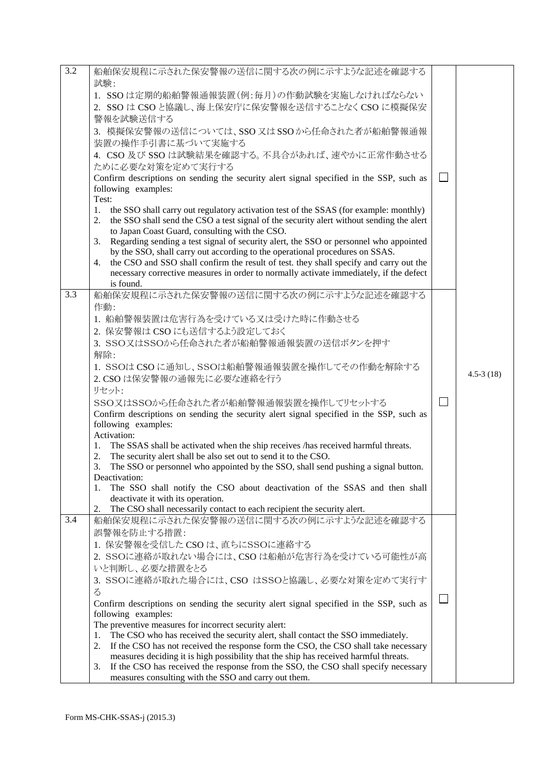| 3.2 | 船舶保安規程に示された保安警報の送信に関する次の例に示すような記述を確認する                                                                                                                                                        |         |               |
|-----|-----------------------------------------------------------------------------------------------------------------------------------------------------------------------------------------------|---------|---------------|
|     | 試験:                                                                                                                                                                                           |         |               |
|     | 1. SSOは定期的船舶警報通報装置(例:毎月)の作動試験を実施しなければならない                                                                                                                                                     |         |               |
|     | 2. SSO は CSO と協議し、海上保安庁に保安警報を送信することなく CSO に模擬保安                                                                                                                                               |         |               |
|     | 警報を試験送信する                                                                                                                                                                                     |         |               |
|     | 3. 模擬保安警報の送信については、SSO 又は SSO から任命された者が船舶警報通報                                                                                                                                                  |         |               |
|     | 装置の操作手引書に基づいて実施する                                                                                                                                                                             |         |               |
|     |                                                                                                                                                                                               |         |               |
|     | 4. CSO 及び SSO は試験結果を確認する。不具合があれば、速やかに正常作動させる                                                                                                                                                  |         |               |
|     | ために必要な対策を定めて実行する                                                                                                                                                                              |         |               |
|     | Confirm descriptions on sending the security alert signal specified in the SSP, such as                                                                                                       | $\perp$ |               |
|     | following examples:                                                                                                                                                                           |         |               |
|     | Test:                                                                                                                                                                                         |         |               |
|     | the SSO shall carry out regulatory activation test of the SSAS (for example: monthly)<br>1.<br>the SSO shall send the CSO a test signal of the security alert without sending the alert<br>2. |         |               |
|     | to Japan Coast Guard, consulting with the CSO.                                                                                                                                                |         |               |
|     | Regarding sending a test signal of security alert, the SSO or personnel who appointed<br>3.                                                                                                   |         |               |
|     | by the SSO, shall carry out according to the operational procedures on SSAS.                                                                                                                  |         |               |
|     | the CSO and SSO shall confirm the result of test. they shall specify and carry out the<br>4.                                                                                                  |         |               |
|     | necessary corrective measures in order to normally activate immediately, if the defect                                                                                                        |         |               |
|     | is found.                                                                                                                                                                                     |         |               |
| 3.3 | 船舶保安規程に示された保安警報の送信に関する次の例に示すような記述を確認する                                                                                                                                                        |         |               |
|     | 作動:                                                                                                                                                                                           |         |               |
|     | 1. 船舶警報装置は危害行為を受けている又は受けた時に作動させる                                                                                                                                                              |         |               |
|     |                                                                                                                                                                                               |         |               |
|     | 2. 保安警報は CSO にも送信するよう設定しておく                                                                                                                                                                   |         |               |
|     | 3. SSO又はSSOから任命された者が船舶警報通報装置の送信ボタンを押す                                                                                                                                                         |         |               |
|     | 解除:                                                                                                                                                                                           |         |               |
|     | 1. SSOは CSO に通知し、SSOは船舶警報通報装置を操作してその作動を解除する                                                                                                                                                   |         | $4.5 - 3(18)$ |
|     | 2. CSO は保安警報の通報先に必要な連絡を行う                                                                                                                                                                     |         |               |
|     | リセット:                                                                                                                                                                                         |         |               |
|     | SSO又はSSOから任命された者が船舶警報通報装置を操作してリセットする                                                                                                                                                          | $\Box$  |               |
|     | Confirm descriptions on sending the security alert signal specified in the SSP, such as                                                                                                       |         |               |
|     | following examples:                                                                                                                                                                           |         |               |
|     | Activation:                                                                                                                                                                                   |         |               |
|     | The SSAS shall be activated when the ship receives /has received harmful threats.<br>1.                                                                                                       |         |               |
|     | The security alert shall be also set out to send it to the CSO.<br>2.                                                                                                                         |         |               |
|     | The SSO or personnel who appointed by the SSO, shall send pushing a signal button.<br>3.                                                                                                      |         |               |
|     | Deactivation:<br>1.<br>The SSO shall notify the CSO about deactivation of the SSAS and then shall                                                                                             |         |               |
|     | deactivate it with its operation.                                                                                                                                                             |         |               |
|     | The CSO shall necessarily contact to each recipient the security alert.<br>2.                                                                                                                 |         |               |
| 3.4 | 船舶保安規程に示された保安警報の送信に関する次の例に示すような記述を確認する                                                                                                                                                        |         |               |
|     | 誤警報を防止する措置:                                                                                                                                                                                   |         |               |
|     |                                                                                                                                                                                               |         |               |
|     | 1. 保安警報を受信した CSO は、直ちにSSOに連絡する                                                                                                                                                                |         |               |
|     | 2. SSOに連絡が取れない場合には、CSOは船舶が危害行為を受けている可能性が高                                                                                                                                                     |         |               |
|     | いと判断し、必要な措置をとる                                                                                                                                                                                |         |               |
|     | 3. SSOに連絡が取れた場合には、CSO はSSOと協議し、必要な対策を定めて実行す                                                                                                                                                   |         |               |
|     | $\zeta$                                                                                                                                                                                       | $\Box$  |               |
|     | Confirm descriptions on sending the security alert signal specified in the SSP, such as                                                                                                       |         |               |
|     | following examples:                                                                                                                                                                           |         |               |
|     | The preventive measures for incorrect security alert:                                                                                                                                         |         |               |
|     | The CSO who has received the security alert, shall contact the SSO immediately.<br>1.                                                                                                         |         |               |
|     | If the CSO has not received the response form the CSO, the CSO shall take necessary<br>2.                                                                                                     |         |               |
|     | measures deciding it is high possibility that the ship has received harmful threats.                                                                                                          |         |               |
|     | If the CSO has received the response from the SSO, the CSO shall specify necessary<br>3.                                                                                                      |         |               |
|     | measures consulting with the SSO and carry out them.                                                                                                                                          |         |               |